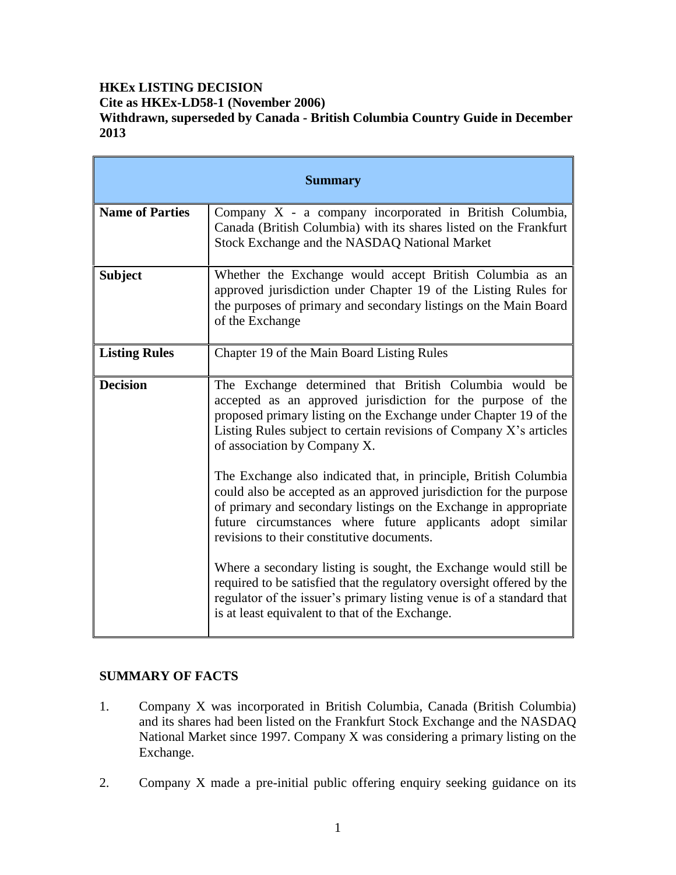# **HKEx LISTING DECISION Cite as HKEx-LD58-1 (November 2006) Withdrawn, superseded by Canada - British Columbia Country Guide in December 2013**

| <b>Summary</b>         |                                                                                                                                                                                                                                                                                                                        |
|------------------------|------------------------------------------------------------------------------------------------------------------------------------------------------------------------------------------------------------------------------------------------------------------------------------------------------------------------|
| <b>Name of Parties</b> | Company $X$ - a company incorporated in British Columbia,<br>Canada (British Columbia) with its shares listed on the Frankfurt<br>Stock Exchange and the NASDAQ National Market                                                                                                                                        |
| <b>Subject</b>         | Whether the Exchange would accept British Columbia as an<br>approved jurisdiction under Chapter 19 of the Listing Rules for<br>the purposes of primary and secondary listings on the Main Board<br>of the Exchange                                                                                                     |
| <b>Listing Rules</b>   | Chapter 19 of the Main Board Listing Rules                                                                                                                                                                                                                                                                             |
| <b>Decision</b>        | The Exchange determined that British Columbia would be<br>accepted as an approved jurisdiction for the purpose of the<br>proposed primary listing on the Exchange under Chapter 19 of the<br>Listing Rules subject to certain revisions of Company X's articles<br>of association by Company X.                        |
|                        | The Exchange also indicated that, in principle, British Columbia<br>could also be accepted as an approved jurisdiction for the purpose<br>of primary and secondary listings on the Exchange in appropriate<br>future circumstances where future applicants adopt similar<br>revisions to their constitutive documents. |
|                        | Where a secondary listing is sought, the Exchange would still be<br>required to be satisfied that the regulatory oversight offered by the<br>regulator of the issuer's primary listing venue is of a standard that<br>is at least equivalent to that of the Exchange.                                                  |

## **SUMMARY OF FACTS**

- 1. Company X was incorporated in British Columbia, Canada (British Columbia) and its shares had been listed on the Frankfurt Stock Exchange and the NASDAQ National Market since 1997. Company X was considering a primary listing on the Exchange.
- 2. Company X made a pre-initial public offering enquiry seeking guidance on its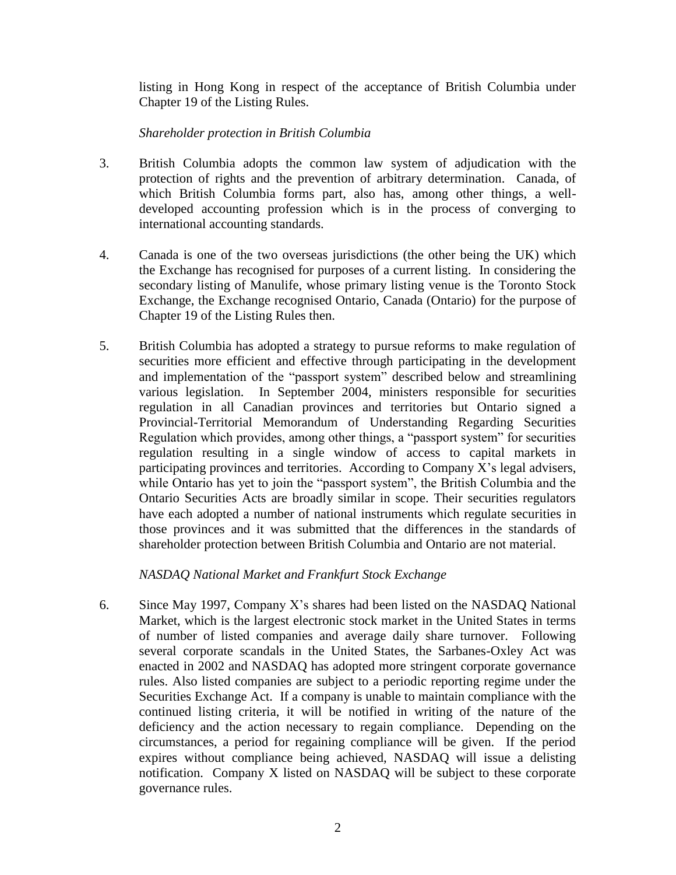listing in Hong Kong in respect of the acceptance of British Columbia under Chapter 19 of the Listing Rules.

### *Shareholder protection in British Columbia*

- 3. British Columbia adopts the common law system of adjudication with the protection of rights and the prevention of arbitrary determination. Canada, of which British Columbia forms part, also has, among other things, a welldeveloped accounting profession which is in the process of converging to international accounting standards.
- 4. Canada is one of the two overseas jurisdictions (the other being the UK) which the Exchange has recognised for purposes of a current listing. In considering the secondary listing of Manulife, whose primary listing venue is the Toronto Stock Exchange, the Exchange recognised Ontario, Canada (Ontario) for the purpose of Chapter 19 of the Listing Rules then.
- 5. British Columbia has adopted a strategy to pursue reforms to make regulation of securities more efficient and effective through participating in the development and implementation of the "passport system" described below and streamlining various legislation. In September 2004, ministers responsible for securities regulation in all Canadian provinces and territories but Ontario signed a Provincial-Territorial Memorandum of Understanding Regarding Securities Regulation which provides, among other things, a "passport system" for securities regulation resulting in a single window of access to capital markets in participating provinces and territories. According to Company X's legal advisers, while Ontario has yet to join the "passport system", the British Columbia and the Ontario Securities Acts are broadly similar in scope. Their securities regulators have each adopted a number of national instruments which regulate securities in those provinces and it was submitted that the differences in the standards of shareholder protection between British Columbia and Ontario are not material.

## *NASDAQ National Market and Frankfurt Stock Exchange*

6. Since May 1997, Company X's shares had been listed on the NASDAQ National Market, which is the largest electronic stock market in the United States in terms of number of listed companies and average daily share turnover. Following several corporate scandals in the United States, the Sarbanes-Oxley Act was enacted in 2002 and NASDAQ has adopted more stringent corporate governance rules. Also listed companies are subject to a periodic reporting regime under the Securities Exchange Act. If a company is unable to maintain compliance with the continued listing criteria, it will be notified in writing of the nature of the deficiency and the action necessary to regain compliance. Depending on the circumstances, a period for regaining compliance will be given. If the period expires without compliance being achieved, NASDAQ will issue a delisting notification. Company X listed on NASDAQ will be subject to these corporate governance rules.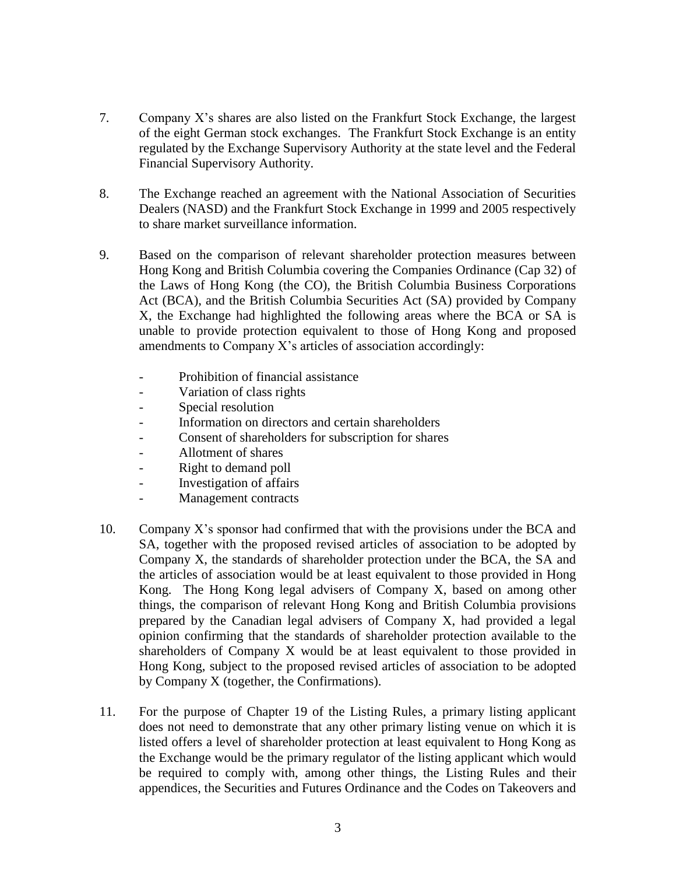- 7. Company X's shares are also listed on the Frankfurt Stock Exchange, the largest of the eight German stock exchanges. The Frankfurt Stock Exchange is an entity regulated by the Exchange Supervisory Authority at the state level and the Federal Financial Supervisory Authority.
- 8. The Exchange reached an agreement with the National Association of Securities Dealers (NASD) and the Frankfurt Stock Exchange in 1999 and 2005 respectively to share market surveillance information.
- 9. Based on the comparison of relevant shareholder protection measures between Hong Kong and British Columbia covering the Companies Ordinance (Cap 32) of the Laws of Hong Kong (the CO), the British Columbia Business Corporations Act (BCA), and the British Columbia Securities Act (SA) provided by Company X, the Exchange had highlighted the following areas where the BCA or SA is unable to provide protection equivalent to those of Hong Kong and proposed amendments to Company X's articles of association accordingly:
	- Prohibition of financial assistance
	- Variation of class rights
	- Special resolution
	- Information on directors and certain shareholders
	- Consent of shareholders for subscription for shares
	- Allotment of shares
	- Right to demand poll
	- Investigation of affairs
	- Management contracts
- 10. Company X's sponsor had confirmed that with the provisions under the BCA and SA, together with the proposed revised articles of association to be adopted by Company X, the standards of shareholder protection under the BCA, the SA and the articles of association would be at least equivalent to those provided in Hong Kong. The Hong Kong legal advisers of Company X, based on among other things, the comparison of relevant Hong Kong and British Columbia provisions prepared by the Canadian legal advisers of Company X, had provided a legal opinion confirming that the standards of shareholder protection available to the shareholders of Company X would be at least equivalent to those provided in Hong Kong, subject to the proposed revised articles of association to be adopted by Company X (together, the Confirmations).
- 11. For the purpose of Chapter 19 of the Listing Rules, a primary listing applicant does not need to demonstrate that any other primary listing venue on which it is listed offers a level of shareholder protection at least equivalent to Hong Kong as the Exchange would be the primary regulator of the listing applicant which would be required to comply with, among other things, the Listing Rules and their appendices, the Securities and Futures Ordinance and the Codes on Takeovers and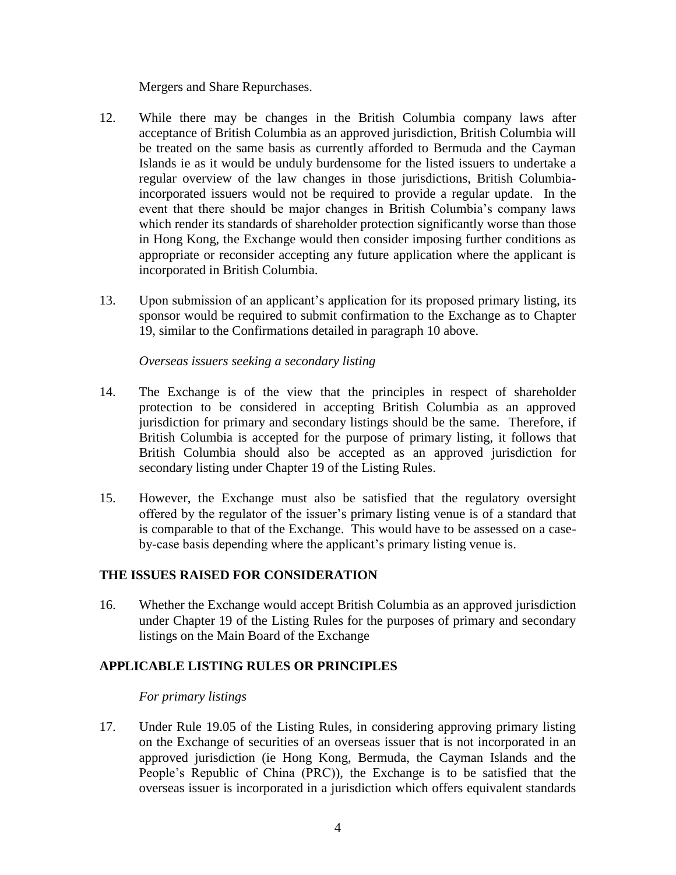Mergers and Share Repurchases.

- 12. While there may be changes in the British Columbia company laws after acceptance of British Columbia as an approved jurisdiction, British Columbia will be treated on the same basis as currently afforded to Bermuda and the Cayman Islands ie as it would be unduly burdensome for the listed issuers to undertake a regular overview of the law changes in those jurisdictions, British Columbiaincorporated issuers would not be required to provide a regular update. In the event that there should be major changes in British Columbia's company laws which render its standards of shareholder protection significantly worse than those in Hong Kong, the Exchange would then consider imposing further conditions as appropriate or reconsider accepting any future application where the applicant is incorporated in British Columbia.
- 13. Upon submission of an applicant's application for its proposed primary listing, its sponsor would be required to submit confirmation to the Exchange as to Chapter 19, similar to the Confirmations detailed in paragraph 10 above.

#### *Overseas issuers seeking a secondary listing*

- 14. The Exchange is of the view that the principles in respect of shareholder protection to be considered in accepting British Columbia as an approved jurisdiction for primary and secondary listings should be the same. Therefore, if British Columbia is accepted for the purpose of primary listing, it follows that British Columbia should also be accepted as an approved jurisdiction for secondary listing under Chapter 19 of the Listing Rules.
- 15. However, the Exchange must also be satisfied that the regulatory oversight offered by the regulator of the issuer's primary listing venue is of a standard that is comparable to that of the Exchange. This would have to be assessed on a caseby-case basis depending where the applicant's primary listing venue is.

## **THE ISSUES RAISED FOR CONSIDERATION**

16. Whether the Exchange would accept British Columbia as an approved jurisdiction under Chapter 19 of the Listing Rules for the purposes of primary and secondary listings on the Main Board of the Exchange

## **APPLICABLE LISTING RULES OR PRINCIPLES**

#### *For primary listings*

17. Under Rule 19.05 of the Listing Rules, in considering approving primary listing on the Exchange of securities of an overseas issuer that is not incorporated in an approved jurisdiction (ie Hong Kong, Bermuda, the Cayman Islands and the People's Republic of China (PRC)), the Exchange is to be satisfied that the overseas issuer is incorporated in a jurisdiction which offers equivalent standards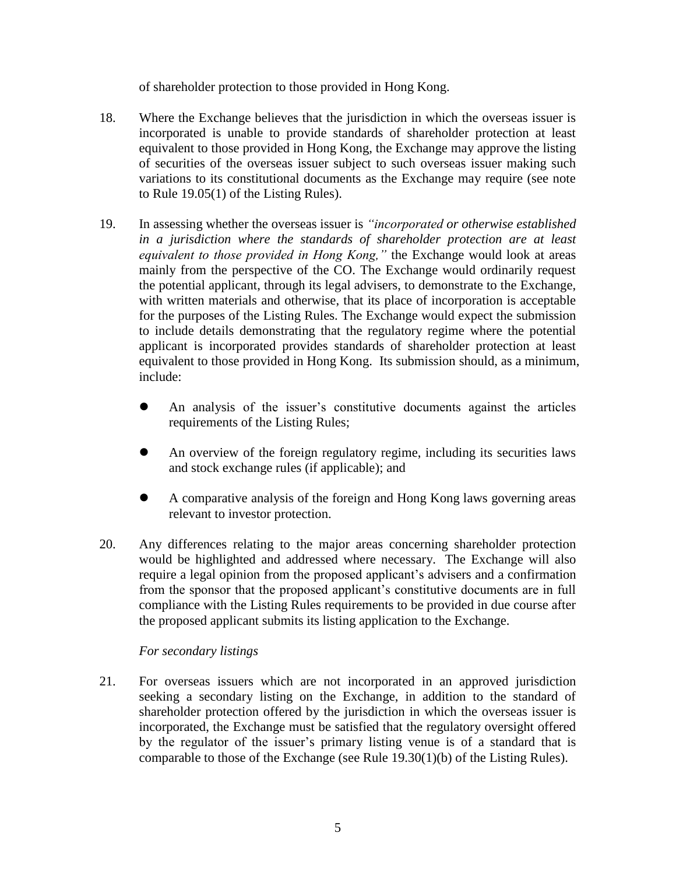of shareholder protection to those provided in Hong Kong.

- 18. Where the Exchange believes that the jurisdiction in which the overseas issuer is incorporated is unable to provide standards of shareholder protection at least equivalent to those provided in Hong Kong, the Exchange may approve the listing of securities of the overseas issuer subject to such overseas issuer making such variations to its constitutional documents as the Exchange may require (see note to Rule 19.05(1) of the Listing Rules).
- 19. In assessing whether the overseas issuer is *"incorporated or otherwise established in a jurisdiction where the standards of shareholder protection are at least equivalent to those provided in Hong Kong,"* the Exchange would look at areas mainly from the perspective of the CO. The Exchange would ordinarily request the potential applicant, through its legal advisers, to demonstrate to the Exchange, with written materials and otherwise, that its place of incorporation is acceptable for the purposes of the Listing Rules. The Exchange would expect the submission to include details demonstrating that the regulatory regime where the potential applicant is incorporated provides standards of shareholder protection at least equivalent to those provided in Hong Kong. Its submission should, as a minimum, include:
	- An analysis of the issuer's constitutive documents against the articles requirements of the Listing Rules;
	- An overview of the foreign regulatory regime, including its securities laws and stock exchange rules (if applicable); and
	- A comparative analysis of the foreign and Hong Kong laws governing areas relevant to investor protection.
- 20. Any differences relating to the major areas concerning shareholder protection would be highlighted and addressed where necessary. The Exchange will also require a legal opinion from the proposed applicant's advisers and a confirmation from the sponsor that the proposed applicant's constitutive documents are in full compliance with the Listing Rules requirements to be provided in due course after the proposed applicant submits its listing application to the Exchange.

## *For secondary listings*

21. For overseas issuers which are not incorporated in an approved jurisdiction seeking a secondary listing on the Exchange, in addition to the standard of shareholder protection offered by the jurisdiction in which the overseas issuer is incorporated, the Exchange must be satisfied that the regulatory oversight offered by the regulator of the issuer's primary listing venue is of a standard that is comparable to those of the Exchange (see Rule 19.30(1)(b) of the Listing Rules).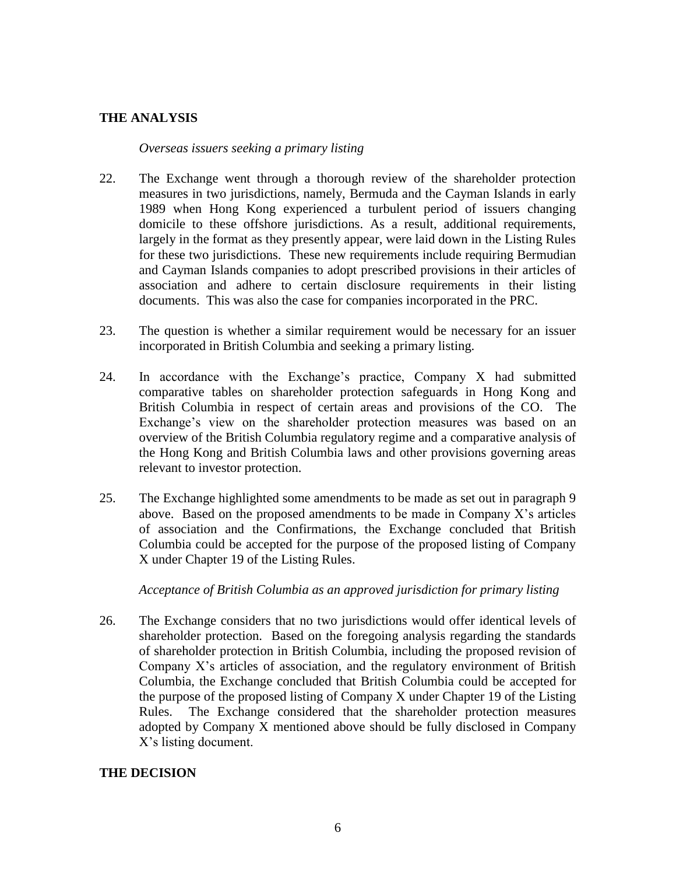## **THE ANALYSIS**

#### *Overseas issuers seeking a primary listing*

- 22. The Exchange went through a thorough review of the shareholder protection measures in two jurisdictions, namely, Bermuda and the Cayman Islands in early 1989 when Hong Kong experienced a turbulent period of issuers changing domicile to these offshore jurisdictions. As a result, additional requirements, largely in the format as they presently appear, were laid down in the Listing Rules for these two jurisdictions. These new requirements include requiring Bermudian and Cayman Islands companies to adopt prescribed provisions in their articles of association and adhere to certain disclosure requirements in their listing documents. This was also the case for companies incorporated in the PRC.
- 23. The question is whether a similar requirement would be necessary for an issuer incorporated in British Columbia and seeking a primary listing.
- 24. In accordance with the Exchange's practice, Company X had submitted comparative tables on shareholder protection safeguards in Hong Kong and British Columbia in respect of certain areas and provisions of the CO. The Exchange's view on the shareholder protection measures was based on an overview of the British Columbia regulatory regime and a comparative analysis of the Hong Kong and British Columbia laws and other provisions governing areas relevant to investor protection.
- 25. The Exchange highlighted some amendments to be made as set out in paragraph 9 above. Based on the proposed amendments to be made in Company  $X$ 's articles of association and the Confirmations, the Exchange concluded that British Columbia could be accepted for the purpose of the proposed listing of Company X under Chapter 19 of the Listing Rules.

#### *Acceptance of British Columbia as an approved jurisdiction for primary listing*

26. The Exchange considers that no two jurisdictions would offer identical levels of shareholder protection. Based on the foregoing analysis regarding the standards of shareholder protection in British Columbia, including the proposed revision of Company X's articles of association, and the regulatory environment of British Columbia, the Exchange concluded that British Columbia could be accepted for the purpose of the proposed listing of Company X under Chapter 19 of the Listing Rules. The Exchange considered that the shareholder protection measures adopted by Company X mentioned above should be fully disclosed in Company X's listing document.

#### **THE DECISION**